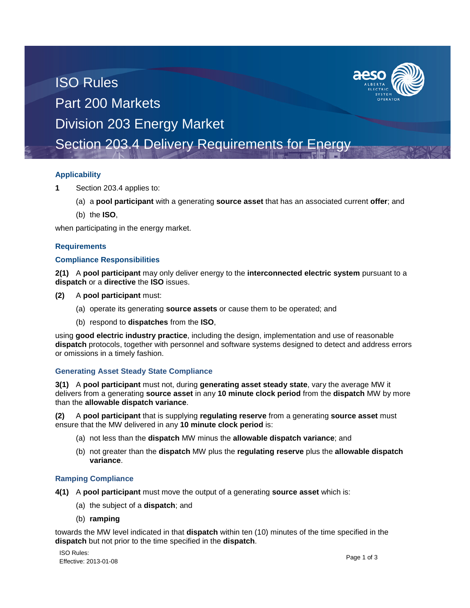# ISO Rules Part 200 Markets Division 203 Energy Market

Section 203.4 Delivery Requirements for Energy

## **Applicability**

- **1** Section 203.4 applies to:
	- (a) a **pool participant** with a generating **source asset** that has an associated current **offer**; and
	- (b) the **ISO**,

when participating in the energy market.

### **Requirements**

#### **Compliance Responsibilities**

**2(1)** A **pool participant** may only deliver energy to the **interconnected electric system** pursuant to a **dispatch** or a **directive** the **ISO** issues.

- **(2)** A **pool participant** must:
	- (a) operate its generating **source assets** or cause them to be operated; and
	- (b) respond to **dispatches** from the **ISO**,

using **good electric industry practice**, including the design, implementation and use of reasonable **dispatch** protocols, together with personnel and software systems designed to detect and address errors or omissions in a timely fashion.

## **Generating Asset Steady State Compliance**

**3(1)** A **pool participant** must not, during **generating asset steady state**, vary the average MW it delivers from a generating **source asset** in any **10 minute clock period** from the **dispatch** MW by more than the **allowable dispatch variance**.

**(2)** A **pool participant** that is supplying **regulating reserve** from a generating **source asset** must ensure that the MW delivered in any **10 minute clock period** is:

- (a) not less than the **dispatch** MW minus the **allowable dispatch variance**; and
- (b) not greater than the **dispatch** MW plus the **regulating reserve** plus the **allowable dispatch variance**.

#### **Ramping Compliance**

- **4(1)** A **pool participant** must move the output of a generating **source asset** which is:
	- (a) the subject of a **dispatch**; and
	- (b) **ramping**

towards the MW level indicated in that **dispatch** within ten (10) minutes of the time specified in the **dispatch** but not prior to the time specified in the **dispatch**.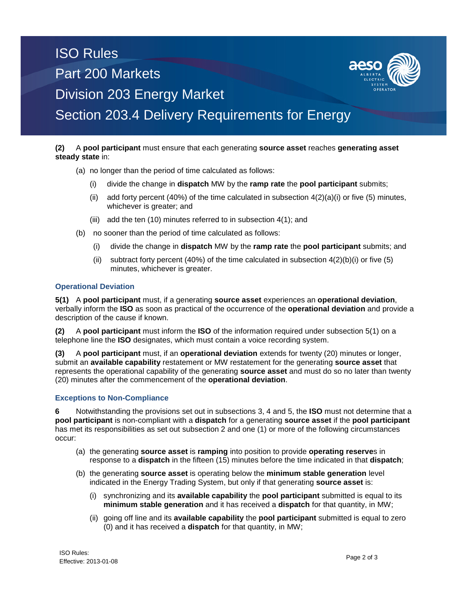# ISO Rules Part 200 Markets Division 203 Energy Market Section 203.4 Delivery Requirements for Energy

#### **(2)** A **pool participant** must ensure that each generating **source asset** reaches **generating asset steady state** in:

- (a) no longer than the period of time calculated as follows:
	- (i) divide the change in **dispatch** MW by the **ramp rate** the **pool participant** submits;
	- (ii) add forty percent (40%) of the time calculated in subsection  $4(2)(a)(i)$  or five (5) minutes, whichever is greater; and
	- (iii) add the ten (10) minutes referred to in subsection 4(1); and
- (b) no sooner than the period of time calculated as follows:
	- (i) divide the change in **dispatch** MW by the **ramp rate** the **pool participant** submits; and
	- (ii) subtract forty percent (40%) of the time calculated in subsection  $4(2)(b)(i)$  or five (5) minutes, whichever is greater.

#### **Operational Deviation**

**5(1)** A **pool participant** must, if a generating **source asset** experiences an **operational deviation**, verbally inform the **ISO** as soon as practical of the occurrence of the **operational deviation** and provide a description of the cause if known.

**(2)** A **pool participant** must inform the **ISO** of the information required under subsection 5(1) on a telephone line the **ISO** designates, which must contain a voice recording system.

**(3)** A **pool participant** must, if an **operational deviation** extends for twenty (20) minutes or longer, submit an **available capability** restatement or MW restatement for the generating **source asset** that represents the operational capability of the generating **source asset** and must do so no later than twenty (20) minutes after the commencement of the **operational deviation**.

#### **Exceptions to Non-Compliance**

**6** Notwithstanding the provisions set out in subsections 3, 4 and 5, the **ISO** must not determine that a **pool participant** is non-compliant with a **dispatch** for a generating **source asset** if the **pool participant** has met its responsibilities as set out subsection 2 and one (1) or more of the following circumstances occur:

- (a) the generating **source asset** is **ramping** into position to provide **operating reserve**s in response to a **dispatch** in the fifteen (15) minutes before the time indicated in that **dispatch**;
- (b) the generating **source asset** is operating below the **minimum stable generation** level indicated in the Energy Trading System, but only if that generating **source asset** is:
	- (i) synchronizing and its **available capability** the **pool participant** submitted is equal to its **minimum stable generation** and it has received a **dispatch** for that quantity, in MW;
	- (ii) going off line and its **available capability** the **pool participant** submitted is equal to zero (0) and it has received a **dispatch** for that quantity, in MW;